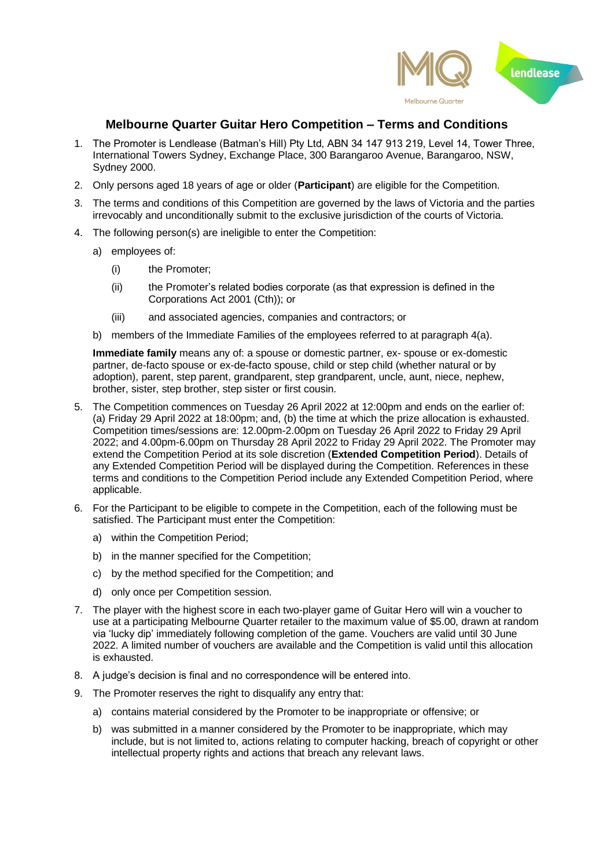

## **Melbourne Quarter Guitar Hero Competition – Terms and Conditions**

- 1. The Promoter is Lendlease (Batman's Hill) Pty Ltd, ABN 34 147 913 219, Level 14, Tower Three, International Towers Sydney, Exchange Place, 300 Barangaroo Avenue, Barangaroo, NSW, Sydney 2000.
- 2. Only persons aged 18 years of age or older (**Participant**) are eligible for the Competition.
- 3. The terms and conditions of this Competition are governed by the laws of Victoria and the parties irrevocably and unconditionally submit to the exclusive jurisdiction of the courts of Victoria.
- 4. The following person(s) are ineligible to enter the Competition:
	- a) employees of:
		- (i) the Promoter;
		- (ii) the Promoter's related bodies corporate (as that expression is defined in the Corporations Act 2001 (Cth)); or
		- (iii) and associated agencies, companies and contractors; or
	- b) members of the Immediate Families of the employees referred to at paragraph 4(a).

**Immediate family** means any of: a spouse or domestic partner, ex- spouse or ex-domestic partner, de-facto spouse or ex-de-facto spouse, child or step child (whether natural or by adoption), parent, step parent, grandparent, step grandparent, uncle, aunt, niece, nephew, brother, sister, step brother, step sister or first cousin.

- 5. The Competition commences on Tuesday 26 April 2022 at 12:00pm and ends on the earlier of: (a) Friday 29 April 2022 at 18:00pm; and, (b) the time at which the prize allocation is exhausted. Competition times/sessions are: 12.00pm-2.00pm on Tuesday 26 April 2022 to Friday 29 April 2022; and 4.00pm-6.00pm on Thursday 28 April 2022 to Friday 29 April 2022. The Promoter may extend the Competition Period at its sole discretion (**Extended Competition Period**). Details of any Extended Competition Period will be displayed during the Competition. References in these terms and conditions to the Competition Period include any Extended Competition Period, where applicable.
- 6. For the Participant to be eligible to compete in the Competition, each of the following must be satisfied. The Participant must enter the Competition:
	- a) within the Competition Period;
	- b) in the manner specified for the Competition;
	- c) by the method specified for the Competition; and
	- d) only once per Competition session.
- 7. The player with the highest score in each two-player game of Guitar Hero will win a voucher to use at a participating Melbourne Quarter retailer to the maximum value of \$5.00, drawn at random via 'lucky dip' immediately following completion of the game. Vouchers are valid until 30 June 2022. A limited number of vouchers are available and the Competition is valid until this allocation is exhausted.
- 8. A judge's decision is final and no correspondence will be entered into.
- 9. The Promoter reserves the right to disqualify any entry that:
	- a) contains material considered by the Promoter to be inappropriate or offensive; or
	- b) was submitted in a manner considered by the Promoter to be inappropriate, which may include, but is not limited to, actions relating to computer hacking, breach of copyright or other intellectual property rights and actions that breach any relevant laws.